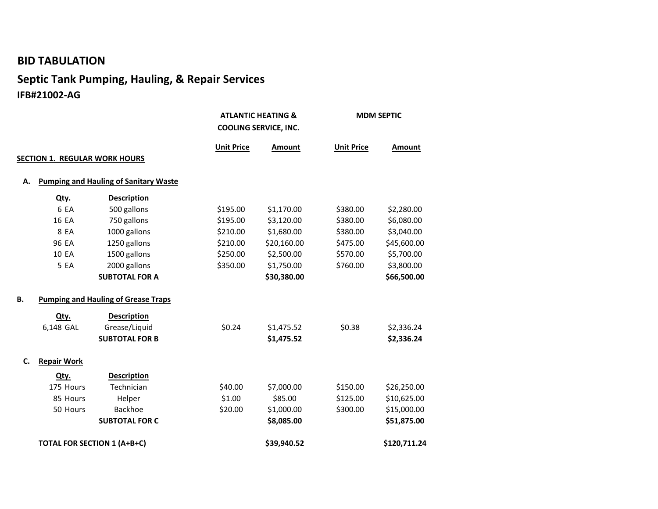## **BID TABULATION**

## **Septic Tank Pumping, Hauling, & Repair Services IFB#21002-AG**

|    |                                              |                       | <b>ATLANTIC HEATING &amp;</b><br><b>COOLING SERVICE, INC.</b> |             | <b>MDM SEPTIC</b> |              |
|----|----------------------------------------------|-----------------------|---------------------------------------------------------------|-------------|-------------------|--------------|
|    |                                              |                       | <b>Unit Price</b>                                             | Amount      | <b>Unit Price</b> | Amount       |
|    | <b>SECTION 1. REGULAR WORK HOURS</b>         |                       |                                                               |             |                   |              |
| А. | <b>Pumping and Hauling of Sanitary Waste</b> |                       |                                                               |             |                   |              |
|    | Qty.                                         | <b>Description</b>    |                                                               |             |                   |              |
|    | 6 EA                                         | 500 gallons           | \$195.00                                                      | \$1,170.00  | \$380.00          | \$2,280.00   |
|    | 16 EA                                        | 750 gallons           | \$195.00                                                      | \$3,120.00  | \$380.00          | \$6,080.00   |
|    | 8 EA                                         | 1000 gallons          | \$210.00                                                      | \$1,680.00  | \$380.00          | \$3,040.00   |
|    | 96 EA                                        | 1250 gallons          | \$210.00                                                      | \$20,160.00 | \$475.00          | \$45,600.00  |
|    | 10 EA                                        | 1500 gallons          | \$250.00                                                      | \$2,500.00  | \$570.00          | \$5,700.00   |
|    | 5 EA                                         | 2000 gallons          | \$350.00                                                      | \$1,750.00  | \$760.00          | \$3,800.00   |
|    |                                              | <b>SUBTOTAL FOR A</b> |                                                               | \$30,380.00 |                   | \$66,500.00  |
| В. | <b>Pumping and Hauling of Grease Traps</b>   |                       |                                                               |             |                   |              |
|    | Qty.                                         | <b>Description</b>    |                                                               |             |                   |              |
|    | 6,148 GAL                                    | Grease/Liquid         | \$0.24                                                        | \$1,475.52  | \$0.38            | \$2,336.24   |
|    |                                              | <b>SUBTOTAL FOR B</b> |                                                               | \$1,475.52  |                   | \$2,336.24   |
| C. | <b>Repair Work</b>                           |                       |                                                               |             |                   |              |
|    | Qty.                                         | <b>Description</b>    |                                                               |             |                   |              |
|    | 175 Hours                                    | Technician            | \$40.00                                                       | \$7,000.00  | \$150.00          | \$26,250.00  |
|    | 85 Hours                                     | Helper                | \$1.00                                                        | \$85.00     | \$125.00          | \$10,625.00  |
|    | 50 Hours                                     | <b>Backhoe</b>        | \$20.00                                                       | \$1,000.00  | \$300.00          | \$15,000.00  |
|    |                                              | <b>SUBTOTAL FOR C</b> |                                                               | \$8,085.00  |                   | \$51,875.00  |
|    | <b>TOTAL FOR SECTION 1 (A+B+C)</b>           |                       |                                                               | \$39,940.52 |                   | \$120,711.24 |